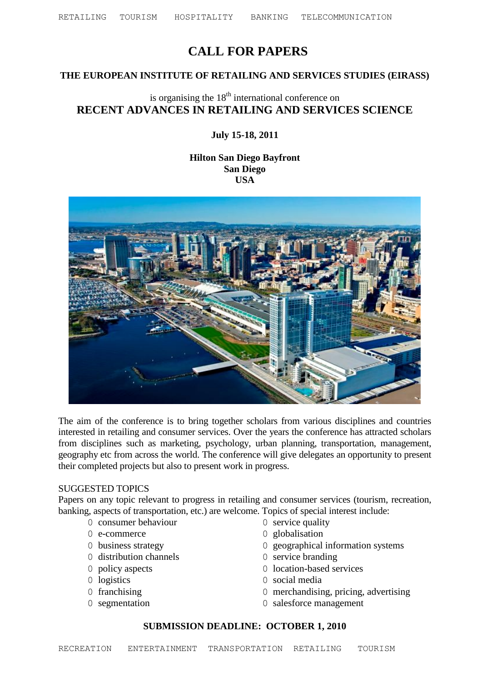# **CALL FOR PAPERS**

### **THE EUROPEAN INSTITUTE OF RETAILING AND SERVICES STUDIES (EIRASS)**

## is organising the  $18<sup>th</sup>$  international conference on **RECENT ADVANCES IN RETAILING AND SERVICES SCIENCE**

### **July 15-18, 2011**

### **Hilton San Diego Bayfront San Diego USA**



The aim of the conference is to bring together scholars from various disciplines and countries interested in retailing and consumer services. Over the years the conference has attracted scholars from disciplines such as marketing, psychology, urban planning, transportation, management, geography etc from across the world. The conference will give delegates an opportunity to present their completed projects but also to present work in progress.

#### SUGGESTED TOPICS

Papers on any topic relevant to progress in retailing and consumer services (tourism, recreation, banking, aspects of transportation, etc.) are welcome. Topics of special interest include:

- 0 consumer behaviour 0 service quality
- 0 e-commerce 0 globalisation
- 
- 0 distribution channels 0 service branding
- 
- 
- 
- 
- 
- 
- 0 business strategy 0 geographical information systems
	-
- 0 policy aspects 0 location-based services
- 0 logistics 0 social media
- 0 franchising 0 merchandising, pricing, advertising
- 0 segmentation 0 salesforce management

### **SUBMISSION DEADLINE: OCTOBER 1, 2010**